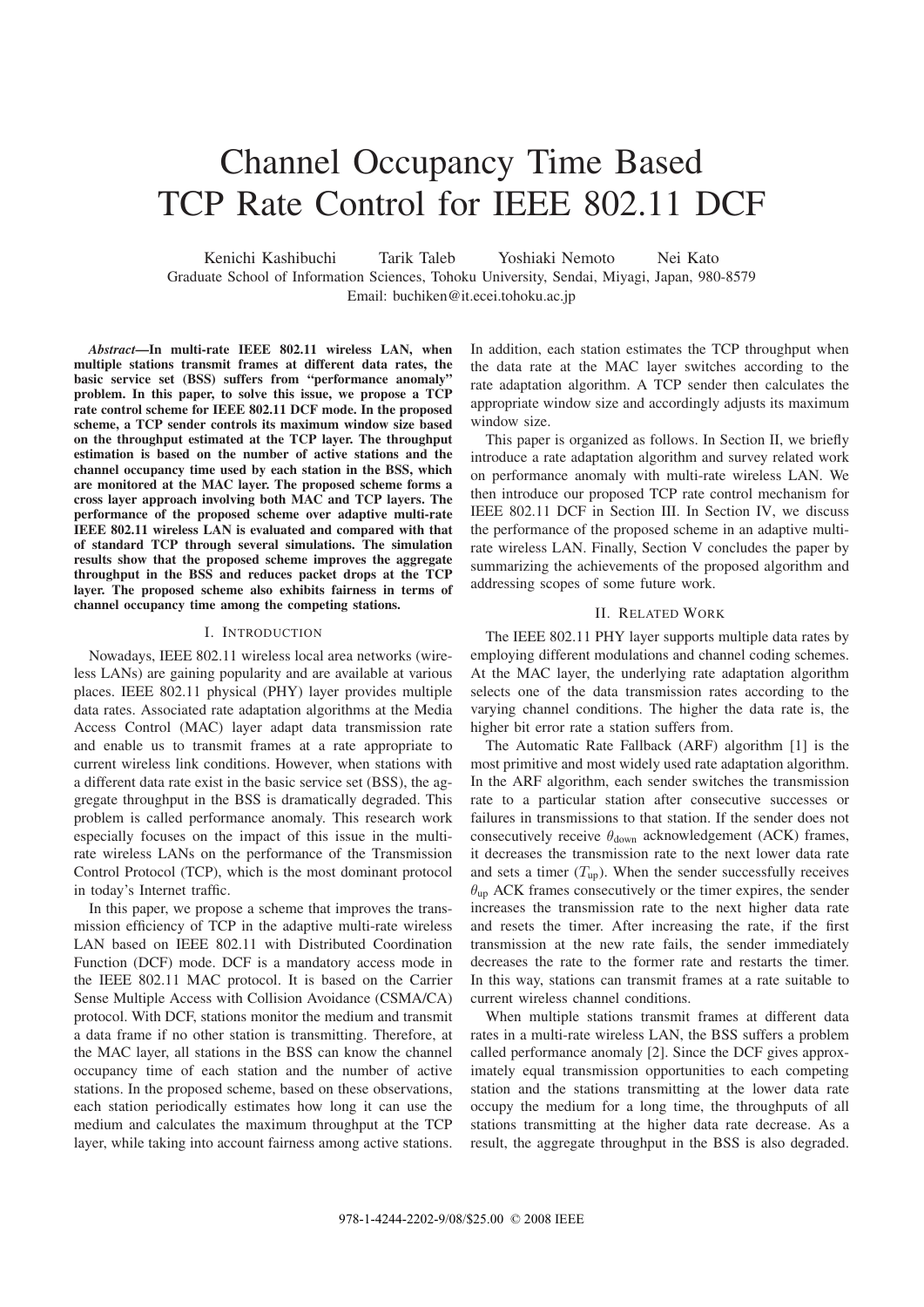# Channel Occupancy Time Based TCP Rate Control for IEEE 802.11 DCF

Kenichi Kashibuchi Tarik Taleb Yoshiaki Nemoto Nei Kato Graduate School of Information Sciences, Tohoku University, Sendai, Miyagi, Japan, 980-8579 Email: buchiken@it.ecei.tohoku.ac.jp

*Abstract***—In multi-rate IEEE 802.11 wireless LAN, when multiple stations transmit frames at different data rates, the basic service set (BSS) suffers from "performance anomaly" problem. In this paper, to solve this issue, we propose a TCP rate control scheme for IEEE 802.11 DCF mode. In the proposed scheme, a TCP sender controls its maximum window size based on the throughput estimated at the TCP layer. The throughput estimation is based on the number of active stations and the channel occupancy time used by each station in the BSS, which are monitored at the MAC layer. The proposed scheme forms a cross layer approach involving both MAC and TCP layers. The performance of the proposed scheme over adaptive multi-rate IEEE 802.11 wireless LAN is evaluated and compared with that of standard TCP through several simulations. The simulation results show that the proposed scheme improves the aggregate throughput in the BSS and reduces packet drops at the TCP layer. The proposed scheme also exhibits fairness in terms of channel occupancy time among the competing stations.**

#### I. INTRODUCTION

Nowadays, IEEE 802.11 wireless local area networks (wireless LANs) are gaining popularity and are available at various places. IEEE 802.11 physical (PHY) layer provides multiple data rates. Associated rate adaptation algorithms at the Media Access Control (MAC) layer adapt data transmission rate and enable us to transmit frames at a rate appropriate to current wireless link conditions. However, when stations with a different data rate exist in the basic service set (BSS), the aggregate throughput in the BSS is dramatically degraded. This problem is called performance anomaly. This research work especially focuses on the impact of this issue in the multirate wireless LANs on the performance of the Transmission Control Protocol (TCP), which is the most dominant protocol in today's Internet traffic.

In this paper, we propose a scheme that improves the transmission efficiency of TCP in the adaptive multi-rate wireless LAN based on IEEE 802.11 with Distributed Coordination Function (DCF) mode. DCF is a mandatory access mode in the IEEE 802.11 MAC protocol. It is based on the Carrier Sense Multiple Access with Collision Avoidance (CSMA/CA) protocol. With DCF, stations monitor the medium and transmit a data frame if no other station is transmitting. Therefore, at the MAC layer, all stations in the BSS can know the channel occupancy time of each station and the number of active stations. In the proposed scheme, based on these observations, each station periodically estimates how long it can use the medium and calculates the maximum throughput at the TCP layer, while taking into account fairness among active stations.

In addition, each station estimates the TCP throughput when the data rate at the MAC layer switches according to the rate adaptation algorithm. A TCP sender then calculates the appropriate window size and accordingly adjusts its maximum window size.

This paper is organized as follows. In Section II, we briefly introduce a rate adaptation algorithm and survey related work on performance anomaly with multi-rate wireless LAN. We then introduce our proposed TCP rate control mechanism for IEEE 802.11 DCF in Section III. In Section IV, we discuss the performance of the proposed scheme in an adaptive multirate wireless LAN. Finally, Section V concludes the paper by summarizing the achievements of the proposed algorithm and addressing scopes of some future work.

#### II. RELATED WORK

The IEEE 802.11 PHY layer supports multiple data rates by employing different modulations and channel coding schemes. At the MAC layer, the underlying rate adaptation algorithm selects one of the data transmission rates according to the varying channel conditions. The higher the data rate is, the higher bit error rate a station suffers from.

The Automatic Rate Fallback (ARF) algorithm [1] is the most primitive and most widely used rate adaptation algorithm. In the ARF algorithm, each sender switches the transmission rate to a particular station after consecutive successes or failures in transmissions to that station. If the sender does not consecutively receive  $\theta_{\text{down}}$  acknowledgement (ACK) frames, it decreases the transmission rate to the next lower data rate and sets a timer  $(T_{up})$ . When the sender successfully receives  $\theta_{\text{un}}$  ACK frames consecutively or the timer expires, the sender increases the transmission rate to the next higher data rate and resets the timer. After increasing the rate, if the first transmission at the new rate fails, the sender immediately decreases the rate to the former rate and restarts the timer. In this way, stations can transmit frames at a rate suitable to current wireless channel conditions.

When multiple stations transmit frames at different data rates in a multi-rate wireless LAN, the BSS suffers a problem called performance anomaly [2]. Since the DCF gives approximately equal transmission opportunities to each competing station and the stations transmitting at the lower data rate occupy the medium for a long time, the throughputs of all stations transmitting at the higher data rate decrease. As a result, the aggregate throughput in the BSS is also degraded.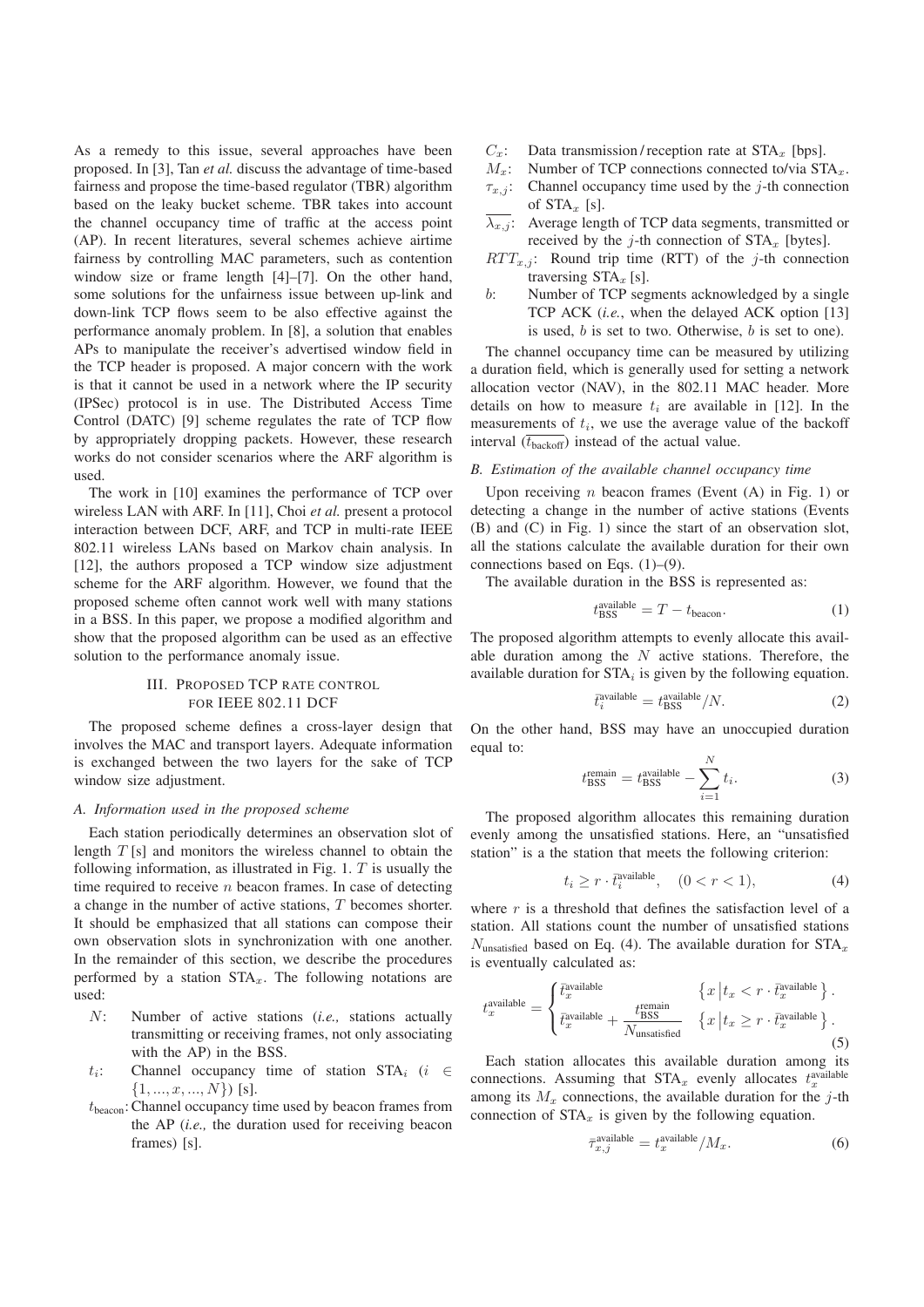As a remedy to this issue, several approaches have been proposed. In [3], Tan *et al.* discuss the advantage of time-based fairness and propose the time-based regulator (TBR) algorithm based on the leaky bucket scheme. TBR takes into account the channel occupancy time of traffic at the access point (AP). In recent literatures, several schemes achieve airtime fairness by controlling MAC parameters, such as contention window size or frame length [4]–[7]. On the other hand, some solutions for the unfairness issue between up-link and down-link TCP flows seem to be also effective against the performance anomaly problem. In [8], a solution that enables APs to manipulate the receiver's advertised window field in the TCP header is proposed. A major concern with the work is that it cannot be used in a network where the IP security (IPSec) protocol is in use. The Distributed Access Time Control (DATC) [9] scheme regulates the rate of TCP flow by appropriately dropping packets. However, these research works do not consider scenarios where the ARF algorithm is used.

The work in [10] examines the performance of TCP over wireless LAN with ARF. In [11], Choi *et al.* present a protocol interaction between DCF, ARF, and TCP in multi-rate IEEE 802.11 wireless LANs based on Markov chain analysis. In [12], the authors proposed a TCP window size adjustment scheme for the ARF algorithm. However, we found that the proposed scheme often cannot work well with many stations in a BSS. In this paper, we propose a modified algorithm and show that the proposed algorithm can be used as an effective solution to the performance anomaly issue.

## III. PROPOSED TCP RATE CONTROL FOR IEEE 802.11 DCF

The proposed scheme defines a cross-layer design that involves the MAC and transport layers. Adequate information is exchanged between the two layers for the sake of TCP window size adjustment.

## *A. Information used in the proposed scheme*

Each station periodically determines an observation slot of length  $T$  [s] and monitors the wireless channel to obtain the following information, as illustrated in Fig. 1.  $T$  is usually the time required to receive  $n$  beacon frames. In case of detecting a change in the number of active stations, T becomes shorter. It should be emphasized that all stations can compose their own observation slots in synchronization with one another. In the remainder of this section, we describe the procedures performed by a station  $STA_x$ . The following notations are used:

- N: Number of active stations (*i.e.,* stations actually transmitting or receiving frames, not only associating with the AP) in the BSS.
- $t_i$ : Channel occupancy time of station STA<sub>i</sub> (i ∈  $\{1, ..., x, ..., N\}$  [s].
- $t_{\text{beacon}}$ : Channel occupancy time used by beacon frames from the AP (*i.e.,* the duration used for receiving beacon frames) [s].
- $C_x$ : Data transmission/reception rate at STA<sub>x</sub> [bps].
- $M_x$ : Number of TCP connections connected to/via STA<sub>x</sub>.
- $\tau_{x,j}$ : Channel occupancy time used by the j-th connection of  $STA_r$  [s].
- $\overline{\lambda_{x,j}}$ : Average length of TCP data segments, transmitted or received by the j-th connection of  $STA_x$  [bytes].
- $RTT_{x,j}$ : Round trip time (RTT) of the j-th connection traversing  $STA_x$  [s].
- b: Number of TCP segments acknowledged by a single TCP ACK (*i.e.*, when the delayed ACK option [13] is used,  $b$  is set to two. Otherwise,  $b$  is set to one).

The channel occupancy time can be measured by utilizing a duration field, which is generally used for setting a network allocation vector (NAV), in the 802.11 MAC header. More details on how to measure  $t_i$  are available in [12]. In the measurements of  $t_i$ , we use the average value of the backoff interval  $(\overline{t_{\text{backoff}}})$  instead of the actual value.

## *B. Estimation of the available channel occupancy time*

Upon receiving *n* beacon frames (Event  $(A)$  in Fig. 1) or detecting a change in the number of active stations (Events (B) and (C) in Fig. 1) since the start of an observation slot, all the stations calculate the available duration for their own connections based on Eqs. (1)–(9).

The available duration in the BSS is represented as:

$$
t_{\rm BSS}^{\rm available} = T - t_{\rm beacon}.\tag{1}
$$

The proposed algorithm attempts to evenly allocate this available duration among the  $N$  active stations. Therefore, the available duration for  $STA_i$  is given by the following equation.

$$
\bar{t}_i^{\text{available}} = t_{\text{BSS}}^{\text{available}} / N. \tag{2}
$$

On the other hand, BSS may have an unoccupied duration equal to:

$$
t_{\rm BSS}^{\rm remain} = t_{\rm BSS}^{\rm available} - \sum_{i=1}^{N} t_i.
$$
 (3)

The proposed algorithm allocates this remaining duration evenly among the unsatisfied stations. Here, an "unsatisfied station" is a the station that meets the following criterion:

$$
t_i \ge r \cdot \bar{t}_i^{\text{available}}, \quad (0 < r < 1), \tag{4}
$$

where  $r$  is a threshold that defines the satisfaction level of a station. All stations count the number of unsatisfied stations  $N_{\text{unsatisfied}}$  based on Eq. (4). The available duration for  $\text{STA}_x$ is eventually calculated as:

$$
t_x^{\text{available}} = \begin{cases} \bar{t}_x^{\text{available}} & \{x \mid t_x < r \cdot \bar{t}_x^{\text{available}}\} \\ \bar{t}_x^{\text{available}} + \frac{t_{\text{BSS}}^{\text{remain}}}{N_{\text{unsatisfied}}} & \{x \mid t_x \ge r \cdot \bar{t}_x^{\text{available}}\} \end{cases} . \tag{5}
$$

Each station allocates this available duration among its connections. Assuming that  $STA_x$  evenly allocates  $t_x^{\text{available}}$ among its  $M<sub>x</sub>$  connections, the available duration for the j-th connection of  $STA_x$  is given by the following equation.

$$
\bar{\tau}_{x,j}^{\text{available}} = t_x^{\text{available}} / M_x. \tag{6}
$$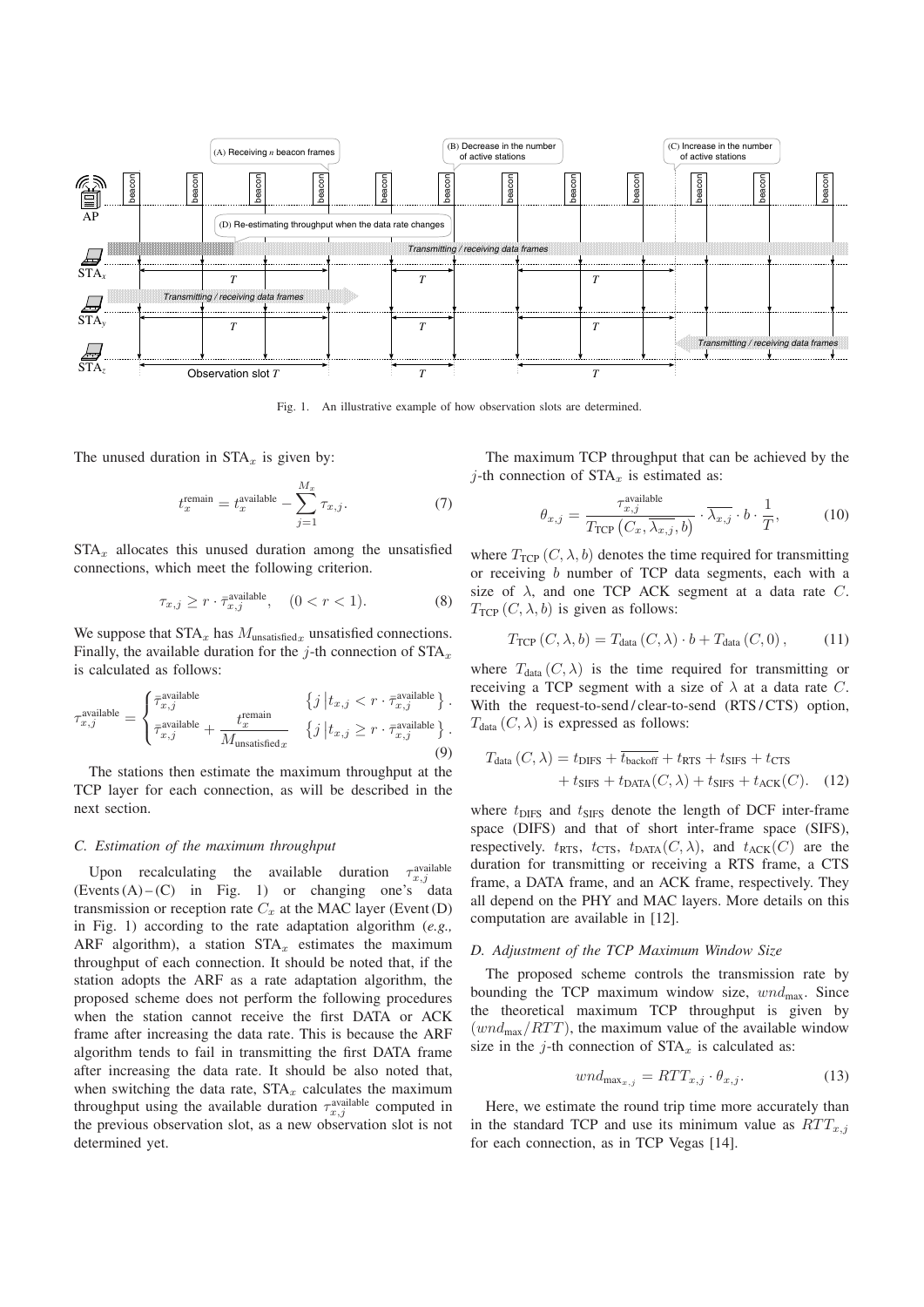

Fig. 1. An illustrative example of how observation slots are determined.

The unused duration in  $STA_x$  is given by:

$$
t_x^{\text{remain}} = t_x^{\text{available}} - \sum_{j=1}^{M_x} \tau_{x,j}.
$$
 (7)

 $STA_x$  allocates this unused duration among the unsatisfied connections, which meet the following criterion.

$$
\tau_{x,j} \ge r \cdot \bar{\tau}_{x,j}^{\text{available}}, \quad (0 < r < 1). \tag{8}
$$

We suppose that  $STA_x$  has  $M_{unsatisfied_x}$  unsatisfied connections. Finally, the available duration for the *j*-th connection of  $STA_x$ is calculated as follows:

$$
\tau_{x,j}^{\text{available}} = \begin{cases}\n\bar{\tau}_{x,j}^{\text{available}} \\
\bar{\tau}_{x,j}^{\text{available}} + \frac{t_x^{\text{remain}}}{M_{\text{unsatisfied }x}} \\
\end{cases} \quad \{j \mid t_{x,j} < r \cdot \bar{\tau}_{x,j}^{\text{available}}\}.\n\tag{9}
$$

The stations then estimate the maximum throughput at the TCP layer for each connection, as will be described in the next section.

## *C. Estimation of the maximum throughput*

Upon recalculating the available duration  $\tau_{x,j}^{\text{available}}$ (Events  $(A) - (C)$  in Fig. 1) or changing one's data transmission or reception rate  $C_x$  at the MAC layer (Event (D) in Fig. 1) according to the rate adaptation algorithm (*e.g.,* ARF algorithm), a station  $STA_x$  estimates the maximum throughput of each connection. It should be noted that, if the station adopts the ARF as a rate adaptation algorithm, the proposed scheme does not perform the following procedures when the station cannot receive the first DATA or ACK frame after increasing the data rate. This is because the ARF algorithm tends to fail in transmitting the first DATA frame after increasing the data rate. It should be also noted that, when switching the data rate,  $STA_x$  calculates the maximum throughput using the available duration  $\tau_{x,j}^{\text{available}}$  computed in the previous observation slot, as a new observation slot is not determined yet.

The maximum TCP throughput that can be achieved by the j-th connection of  $STA_x$  is estimated as:

$$
\theta_{x,j} = \frac{\tau_{x,j}^{\text{available}}}{T_{\text{TCP}}\left(C_x, \overline{\lambda_{x,j}}, b\right)} \cdot \overline{\lambda_{x,j}} \cdot b \cdot \frac{1}{T},\tag{10}
$$

where  $T_{\text{TCP}}(C, \lambda, b)$  denotes the time required for transmitting or receiving b number of TCP data segments, each with a size of  $\lambda$ , and one TCP ACK segment at a data rate C.  $T_{\text{TCP}}(C, \lambda, b)$  is given as follows:

$$
T_{\text{TCP}}\left(C,\lambda,b\right) = T_{\text{data}}\left(C,\lambda\right) \cdot b + T_{\text{data}}\left(C,0\right),\tag{11}
$$

where  $T_{data}(C, \lambda)$  is the time required for transmitting or receiving a TCP segment with a size of  $\lambda$  at a data rate C. With the request-to-send / clear-to-send (RTS / CTS) option,  $T_{data}$   $(C, \lambda)$  is expressed as follows:

$$
T_{\text{data}}(C,\lambda) = t_{\text{DIFS}} + \overline{t_{\text{backoff}}} + t_{\text{RTS}} + t_{\text{SIFS}} + t_{\text{CTS}} + t_{\text{SIFS}} + t_{\text{DATA}}(C,\lambda) + t_{\text{SIFS}} + t_{\text{ACK}}(C). \quad (12)
$$

where  $t_{\text{DIFS}}$  and  $t_{\text{SIFS}}$  denote the length of DCF inter-frame space (DIFS) and that of short inter-frame space (SIFS), respectively.  $t_{RTS}$ ,  $t_{CTS}$ ,  $t_{DATA}(C, \lambda)$ , and  $t_{ACK}(C)$  are the duration for transmitting or receiving a RTS frame, a CTS frame, a DATA frame, and an ACK frame, respectively. They all depend on the PHY and MAC layers. More details on this computation are available in [12].

## *D. Adjustment of the TCP Maximum Window Size*

The proposed scheme controls the transmission rate by bounding the TCP maximum window size,  $wnd_{\text{max}}$ . Since the theoretical maximum TCP throughput is given by  $(wnd_{\text{max}}/RTT)$ , the maximum value of the available window size in the j-th connection of  $STA_x$  is calculated as:

$$
wnd_{\max_{x,j}} = RTT_{x,j} \cdot \theta_{x,j}.
$$
 (13)

Here, we estimate the round trip time more accurately than in the standard TCP and use its minimum value as  $RTT_{x,j}$ for each connection, as in TCP Vegas [14].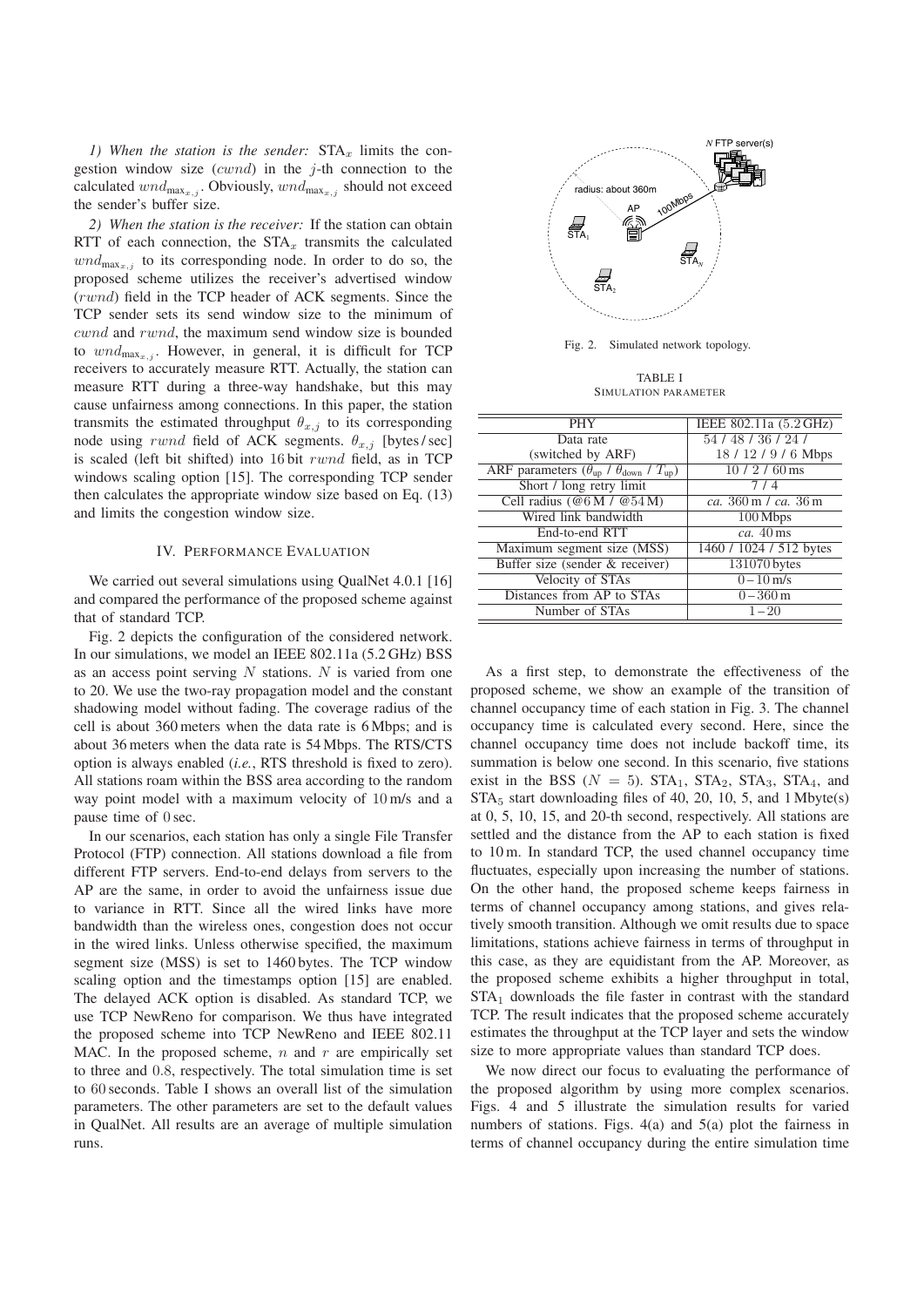*1)* When the station is the sender:  $STA_x$  limits the congestion window size  $(cwnd)$  in the j-th connection to the calculated  $wnd_{\max_{x,j}}$ . Obviously,  $wnd_{\max_{x,j}}$  should not exceed the sender's buffer size.

*2) When the station is the receiver:* If the station can obtain RTT of each connection, the  $STA_x$  transmits the calculated  $wnd_{\text{max}_{x,i}}$  to its corresponding node. In order to do so, the proposed scheme utilizes the receiver's advertised window (rwnd) field in the TCP header of ACK segments. Since the TCP sender sets its send window size to the minimum of cwnd and rwnd, the maximum send window size is bounded to  $wnd_{\max_{x,j}}$ . However, in general, it is difficult for TCP receivers to accurately measure RTT. Actually, the station can measure RTT during a three-way handshake, but this may cause unfairness among connections. In this paper, the station transmits the estimated throughput  $\theta_{x,j}$  to its corresponding node using rwnd field of ACK segments.  $\theta_{x,j}$  [bytes/sec] is scaled (left bit shifted) into 16 bit rwnd field, as in TCP windows scaling option [15]. The corresponding TCP sender then calculates the appropriate window size based on Eq. (13) and limits the congestion window size.

## IV. PERFORMANCE EVALUATION

We carried out several simulations using QualNet 4.0.1 [16] and compared the performance of the proposed scheme against that of standard TCP.

Fig. 2 depicts the configuration of the considered network. In our simulations, we model an IEEE 802.11a (5.2 GHz) BSS as an access point serving  $N$  stations.  $N$  is varied from one to 20. We use the two-ray propagation model and the constant shadowing model without fading. The coverage radius of the cell is about 360 meters when the data rate is 6 Mbps; and is about 36 meters when the data rate is 54 Mbps. The RTS/CTS option is always enabled (*i.e.*, RTS threshold is fixed to zero). All stations roam within the BSS area according to the random way point model with a maximum velocity of 10 m/s and a pause time of 0 sec.

In our scenarios, each station has only a single File Transfer Protocol (FTP) connection. All stations download a file from different FTP servers. End-to-end delays from servers to the AP are the same, in order to avoid the unfairness issue due to variance in RTT. Since all the wired links have more bandwidth than the wireless ones, congestion does not occur in the wired links. Unless otherwise specified, the maximum segment size (MSS) is set to 1460 bytes. The TCP window scaling option and the timestamps option [15] are enabled. The delayed ACK option is disabled. As standard TCP, we use TCP NewReno for comparison. We thus have integrated the proposed scheme into TCP NewReno and IEEE 802.11 MAC. In the proposed scheme,  $n$  and  $r$  are empirically set to three and 0.8, respectively. The total simulation time is set to 60 seconds. Table I shows an overall list of the simulation parameters. The other parameters are set to the default values in QualNet. All results are an average of multiple simulation runs.



Fig. 2. Simulated network topology.

TABLE I SIMULATION PARAMETER

| <b>PHY</b>                                                                         | IEEE 802.11a (5.2 GHz)  |
|------------------------------------------------------------------------------------|-------------------------|
| Data rate                                                                          | 54 / 48 / 36 / 24 /     |
| (switched by ARF)                                                                  | 18 / 12 / 9 / 6 Mbps    |
| ARF parameters ( $\theta_{\text{up}}$ / $\theta_{\text{down}}$ / $T_{\text{up}}$ ) | $10/2/60$ ms            |
| Short / long retry limit                                                           | 7/4                     |
| Cell radius (@6M / @54M)                                                           | ca. 360 m / ca. 36 m    |
| Wired link bandwidth                                                               | 100 Mbps                |
| End-to-end RTT                                                                     | $ca.40$ ms              |
| Maximum segment size (MSS)                                                         | 1460 / 1024 / 512 bytes |
| Buffer size (sender & receiver)                                                    | 131070 bytes            |
| Velocity of STAs                                                                   | $0 - 10$ m/s            |
| Distances from AP to STAs                                                          | $0 - 360$ m             |
| Number of STAs                                                                     | $1 - 20$                |
|                                                                                    |                         |

As a first step, to demonstrate the effectiveness of the proposed scheme, we show an example of the transition of channel occupancy time of each station in Fig. 3. The channel occupancy time is calculated every second. Here, since the channel occupancy time does not include backoff time, its summation is below one second. In this scenario, five stations exist in the BSS ( $N = 5$ ). STA<sub>1</sub>, STA<sub>2</sub>, STA<sub>3</sub>, STA<sub>4</sub>, and  $STA<sub>5</sub>$  start downloading files of 40, 20, 10, 5, and 1 Mbyte(s) at 0, 5, 10, 15, and 20-th second, respectively. All stations are settled and the distance from the AP to each station is fixed to 10 m. In standard TCP, the used channel occupancy time fluctuates, especially upon increasing the number of stations. On the other hand, the proposed scheme keeps fairness in terms of channel occupancy among stations, and gives relatively smooth transition. Although we omit results due to space limitations, stations achieve fairness in terms of throughput in this case, as they are equidistant from the AP. Moreover, as the proposed scheme exhibits a higher throughput in total,  $STA<sub>1</sub>$  downloads the file faster in contrast with the standard TCP. The result indicates that the proposed scheme accurately estimates the throughput at the TCP layer and sets the window size to more appropriate values than standard TCP does.

We now direct our focus to evaluating the performance of the proposed algorithm by using more complex scenarios. Figs. 4 and 5 illustrate the simulation results for varied numbers of stations. Figs. 4(a) and 5(a) plot the fairness in terms of channel occupancy during the entire simulation time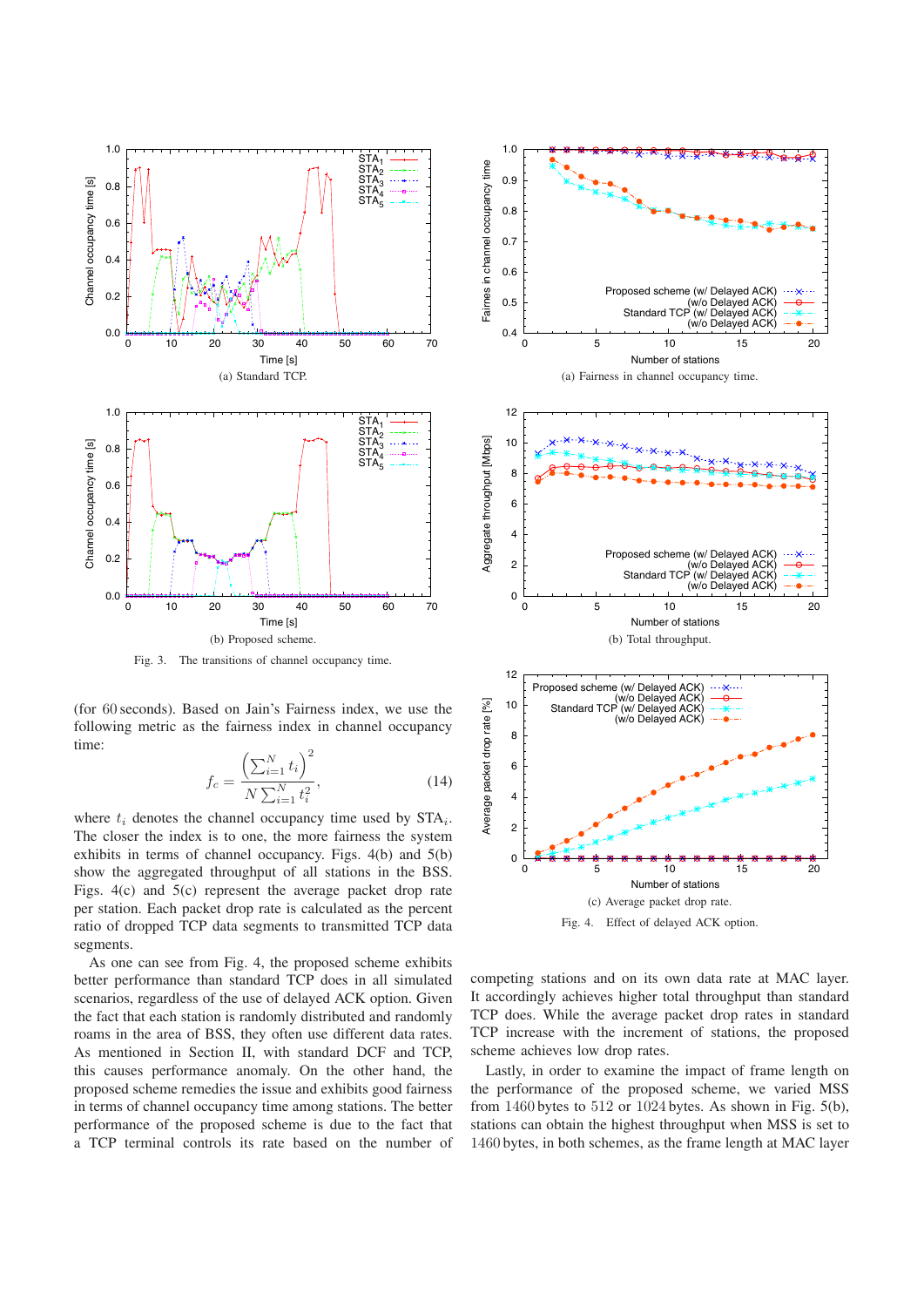

Fig. 3. The transitions of channel occupancy time.

(for 60 seconds). Based on Jain's Fairness index, we use the following metric as the fairness index in channel occupancy time:

$$
f_c = \frac{\left(\sum_{i=1}^{N} t_i\right)^2}{N \sum_{i=1}^{N} t_i^2},\tag{14}
$$

where  $t_i$  denotes the channel occupancy time used by  $STA_i$ . The closer the index is to one, the more fairness the system exhibits in terms of channel occupancy. Figs. 4(b) and 5(b) show the aggregated throughput of all stations in the BSS. Figs. 4(c) and 5(c) represent the average packet drop rate per station. Each packet drop rate is calculated as the percent ratio of dropped TCP data segments to transmitted TCP data segments.

As one can see from Fig. 4, the proposed scheme exhibits better performance than standard TCP does in all simulated scenarios, regardless of the use of delayed ACK option. Given the fact that each station is randomly distributed and randomly roams in the area of BSS, they often use different data rates. As mentioned in Section II, with standard DCF and TCP, this causes performance anomaly. On the other hand, the proposed scheme remedies the issue and exhibits good fairness in terms of channel occupancy time among stations. The better performance of the proposed scheme is due to the fact that a TCP terminal controls its rate based on the number of



competing stations and on its own data rate at MAC layer. It accordingly achieves higher total throughput than standard TCP does. While the average packet drop rates in standard TCP increase with the increment of stations, the proposed

Lastly, in order to examine the impact of frame length on the performance of the proposed scheme, we varied MSS from  $1460$  bytes to  $512$  or  $1024$  bytes. As shown in Fig.  $5(b)$ , stations can obtain the highest throughput when MSS is set to 1460 bytes, in both schemes, as the frame length at MAC layer

scheme achieves low drop rates.